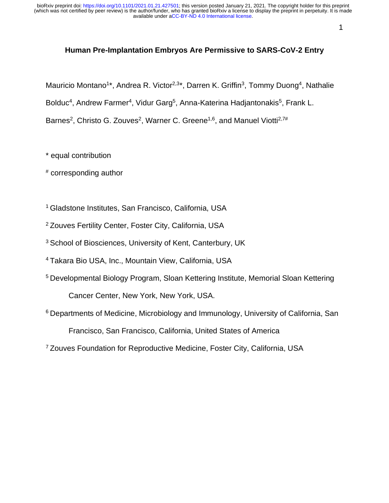1

#### **Human Pre-Implantation Embryos Are Permissive to SARS-CoV-2 Entry**

Mauricio Montano<sup>1\*</sup>, Andrea R. Victor<sup>2,3\*</sup>, Darren K. Griffin<sup>3</sup>, Tommy Duong<sup>4</sup>, Nathalie

Bolduc<sup>4</sup>, Andrew Farmer<sup>4</sup>, Vidur Garg<sup>5</sup>, Anna-Katerina Hadjantonakis<sup>5</sup>, Frank L.

Barnes<sup>2</sup>, Christo G. Zouves<sup>2</sup>, Warner C. Greene<sup>1,6</sup>, and Manuel Viotti<sup>2,7#</sup>

\* equal contribution

# corresponding author

<sup>1</sup> Gladstone Institutes, San Francisco, California, USA

<sup>2</sup> Zouves Fertility Center, Foster City, California, USA

<sup>3</sup> School of Biosciences, University of Kent, Canterbury, UK

<sup>4</sup> Takara Bio USA, Inc., Mountain View, California, USA

<sup>5</sup> Developmental Biology Program, Sloan Kettering Institute, Memorial Sloan Kettering Cancer Center, New York, New York, USA.

<sup>6</sup> Departments of Medicine, Microbiology and Immunology, University of California, San Francisco, San Francisco, California, United States of America

<sup>7</sup>Zouves Foundation for Reproductive Medicine, Foster City, California, USA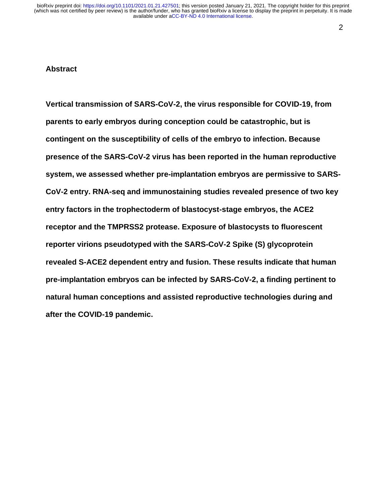#### 2

#### **Abstract**

**Vertical transmission of SARS-CoV-2, the virus responsible for COVID-19, from parents to early embryos during conception could be catastrophic, but is contingent on the susceptibility of cells of the embryo to infection. Because presence of the SARS-CoV-2 virus has been reported in the human reproductive system, we assessed whether pre-implantation embryos are permissive to SARS-CoV-2 entry. RNA-seq and immunostaining studies revealed presence of two key entry factors in the trophectoderm of blastocyst-stage embryos, the ACE2 receptor and the TMPRSS2 protease. Exposure of blastocysts to fluorescent reporter virions pseudotyped with the SARS-CoV-2 Spike (S) glycoprotein revealed S-ACE2 dependent entry and fusion. These results indicate that human pre-implantation embryos can be infected by SARS-CoV-2, a finding pertinent to natural human conceptions and assisted reproductive technologies during and after the COVID-19 pandemic.**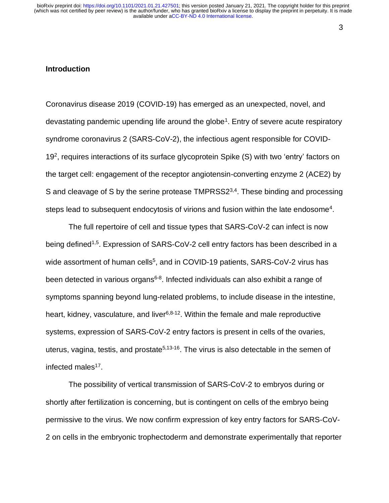#### 3

#### **Introduction**

Coronavirus disease 2019 (COVID-19) has emerged as an unexpected, novel, and devastating pandemic upending life around the globe<sup>1</sup>. Entry of severe acute respiratory syndrome coronavirus 2 (SARS-CoV-2), the infectious agent responsible for COVID-19<sup>2</sup>, requires interactions of its surface glycoprotein Spike (S) with two 'entry' factors on the target cell: engagement of the receptor angiotensin-converting enzyme 2 (ACE2) by S and cleavage of S by the serine protease TMPRSS2<sup>3,4</sup>. These binding and processing steps lead to subsequent endocytosis of virions and fusion within the late endosome<sup>4</sup>.

The full repertoire of cell and tissue types that SARS-CoV-2 can infect is now being defined<sup>1,5</sup>. Expression of SARS-CoV-2 cell entry factors has been described in a wide assortment of human cells<sup>5</sup>, and in COVID-19 patients, SARS-CoV-2 virus has been detected in various organs<sup>6-8</sup>. Infected individuals can also exhibit a range of symptoms spanning beyond lung-related problems, to include disease in the intestine, heart, kidney, vasculature, and liver<sup>6,8-12</sup>. Within the female and male reproductive systems, expression of SARS-CoV-2 entry factors is present in cells of the ovaries, uterus, vagina, testis, and prostate<sup>5,13-16</sup>. The virus is also detectable in the semen of infected males<sup>17</sup>.

The possibility of vertical transmission of SARS-CoV-2 to embryos during or shortly after fertilization is concerning, but is contingent on cells of the embryo being permissive to the virus. We now confirm expression of key entry factors for SARS-CoV-2 on cells in the embryonic trophectoderm and demonstrate experimentally that reporter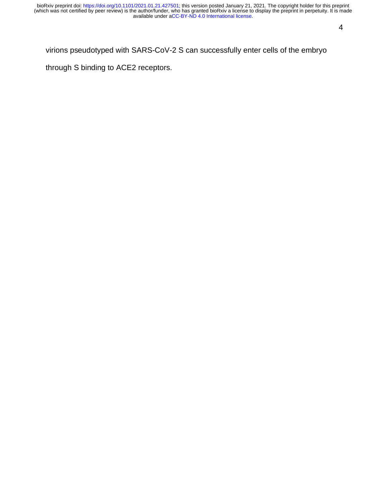### virions pseudotyped with SARS-CoV-2 S can successfully enter cells of the embryo

through S binding to ACE2 receptors.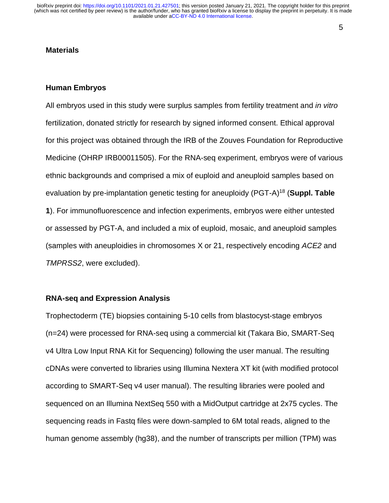#### **Materials**

#### **Human Embryos**

All embryos used in this study were surplus samples from fertility treatment and *in vitro* fertilization, donated strictly for research by signed informed consent. Ethical approval for this project was obtained through the IRB of the Zouves Foundation for Reproductive Medicine (OHRP IRB00011505). For the RNA-seq experiment, embryos were of various ethnic backgrounds and comprised a mix of euploid and aneuploid samples based on evaluation by pre-implantation genetic testing for aneuploidy (PGT-A)<sup>18</sup> (**Suppl. Table 1**). For immunofluorescence and infection experiments, embryos were either untested or assessed by PGT-A, and included a mix of euploid, mosaic, and aneuploid samples (samples with aneuploidies in chromosomes X or 21, respectively encoding *ACE2* and *TMPRSS2*, were excluded).

#### **RNA-seq and Expression Analysis**

Trophectoderm (TE) biopsies containing 5-10 cells from blastocyst-stage embryos (n=24) were processed for RNA-seq using a commercial kit (Takara Bio, SMART-Seq v4 Ultra Low Input RNA Kit for Sequencing) following the user manual. The resulting cDNAs were converted to libraries using Illumina Nextera XT kit (with modified protocol according to SMART-Seq v4 user manual). The resulting libraries were pooled and sequenced on an Illumina NextSeq 550 with a MidOutput cartridge at 2x75 cycles. The sequencing reads in Fastq files were down-sampled to 6M total reads, aligned to the human genome assembly (hg38), and the number of transcripts per million (TPM) was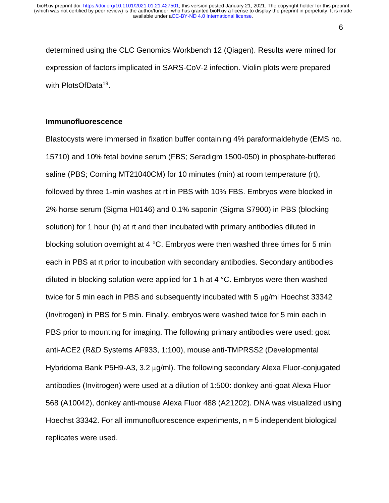determined using the CLC Genomics Workbench 12 (Qiagen). Results were mined for expression of factors implicated in SARS-CoV-2 infection. Violin plots were prepared with PlotsOfData<sup>19</sup>.

#### **Immunofluorescence**

Blastocysts were immersed in fixation buffer containing 4% paraformaldehyde (EMS no. 15710) and 10% fetal bovine serum (FBS; Seradigm 1500-050) in phosphate-buffered saline (PBS; Corning MT21040CM) for 10 minutes (min) at room temperature (rt), followed by three 1-min washes at rt in PBS with 10% FBS. Embryos were blocked in 2% horse serum (Sigma H0146) and 0.1% saponin (Sigma S7900) in PBS (blocking solution) for 1 hour (h) at rt and then incubated with primary antibodies diluted in blocking solution overnight at 4 °C. Embryos were then washed three times for 5 min each in PBS at rt prior to incubation with secondary antibodies. Secondary antibodies diluted in blocking solution were applied for 1 h at 4 °C. Embryos were then washed twice for 5 min each in PBS and subsequently incubated with 5 µg/ml Hoechst 33342 (Invitrogen) in PBS for 5 min. Finally, embryos were washed twice for 5 min each in PBS prior to mounting for imaging. The following primary antibodies were used: goat anti-ACE2 (R&D Systems AF933, 1:100), mouse anti-TMPRSS2 (Developmental Hybridoma Bank P5H9-A3, 3.2 µg/ml). The following secondary Alexa Fluor-conjugated antibodies (Invitrogen) were used at a dilution of 1:500: donkey anti-goat Alexa Fluor 568 (A10042), donkey anti-mouse Alexa Fluor 488 (A21202). DNA was visualized using Hoechst 33342. For all immunofluorescence experiments, n = 5 independent biological replicates were used.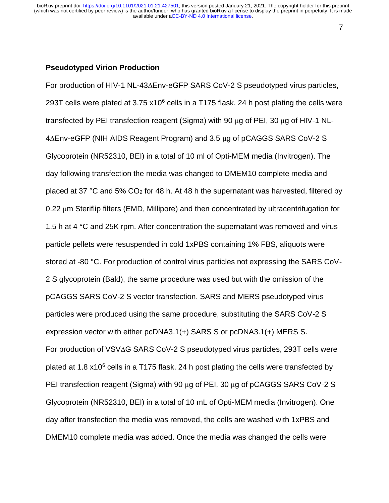#### 7

#### **Pseudotyped Virion Production**

For production of HIV-1 NL-43∆Env-eGFP SARS CoV-2 S pseudotyped virus particles, 293T cells were plated at 3.75  $\times$ 10<sup>6</sup> cells in a T175 flask. 24 h post plating the cells were transfected by PEI transfection reagent (Sigma) with 90 µg of PEI, 30 µg of HIV-1 NL-4∆Env-eGFP (NIH AIDS Reagent Program) and 3.5 µg of pCAGGS SARS CoV-2 S Glycoprotein (NR52310, BEI) in a total of 10 ml of Opti-MEM media (Invitrogen). The day following transfection the media was changed to DMEM10 complete media and placed at 37 °C and 5% CO<sup>2</sup> for 48 h. At 48 h the supernatant was harvested, filtered by 0.22 µm Steriflip filters (EMD, Millipore) and then concentrated by ultracentrifugation for 1.5 h at 4 °C and 25K rpm. After concentration the supernatant was removed and virus particle pellets were resuspended in cold 1xPBS containing 1% FBS, aliquots were stored at -80 °C. For production of control virus particles not expressing the SARS CoV-2 S glycoprotein (Bald), the same procedure was used but with the omission of the pCAGGS SARS CoV-2 S vector transfection. SARS and MERS pseudotyped virus particles were produced using the same procedure, substituting the SARS CoV-2 S expression vector with either pcDNA3.1(+) SARS S or pcDNA3.1(+) MERS S. For production of VSV∆G SARS CoV-2 S pseudotyped virus particles, 293T cells were plated at 1.8  $x10^6$  cells in a T175 flask. 24 h post plating the cells were transfected by PEI transfection reagent (Sigma) with 90 µg of PEI, 30 µg of pCAGGS SARS CoV-2 S Glycoprotein (NR52310, BEI) in a total of 10 mL of Opti-MEM media (Invitrogen). One day after transfection the media was removed, the cells are washed with 1xPBS and DMEM10 complete media was added. Once the media was changed the cells were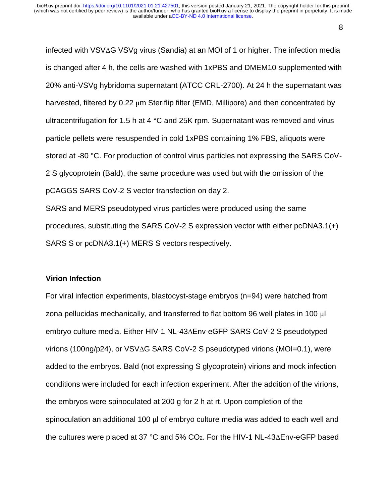infected with VSV∆G VSVg virus (Sandia) at an MOI of 1 or higher. The infection media is changed after 4 h, the cells are washed with 1xPBS and DMEM10 supplemented with 20% anti-VSVg hybridoma supernatant (ATCC CRL-2700). At 24 h the supernatant was harvested, filtered by 0.22  $\mu$ m Steriflip filter (EMD, Millipore) and then concentrated by ultracentrifugation for 1.5 h at 4 °C and 25K rpm. Supernatant was removed and virus particle pellets were resuspended in cold 1xPBS containing 1% FBS, aliquots were stored at -80 °C. For production of control virus particles not expressing the SARS CoV-2 S glycoprotein (Bald), the same procedure was used but with the omission of the pCAGGS SARS CoV-2 S vector transfection on day 2.

SARS and MERS pseudotyped virus particles were produced using the same procedures, substituting the SARS CoV-2 S expression vector with either pcDNA3.1(+) SARS S or pcDNA3.1(+) MERS S vectors respectively.

#### **Virion Infection**

For viral infection experiments, blastocyst-stage embryos (n=94) were hatched from zona pellucidas mechanically, and transferred to flat bottom 96 well plates in 100 µl embryo culture media. Either HIV-1 NL-43∆Env-eGFP SARS CoV-2 S pseudotyped virions (100ng/p24), or VSV∆G SARS CoV-2 S pseudotyped virions (MOI=0.1), were added to the embryos. Bald (not expressing S glycoprotein) virions and mock infection conditions were included for each infection experiment. After the addition of the virions, the embryos were spinoculated at 200 g for 2 h at rt. Upon completion of the spinoculation an additional 100  $\mu$  of embryo culture media was added to each well and the cultures were placed at 37 °C and 5% CO2. For the HIV-1 NL-43∆Env-eGFP based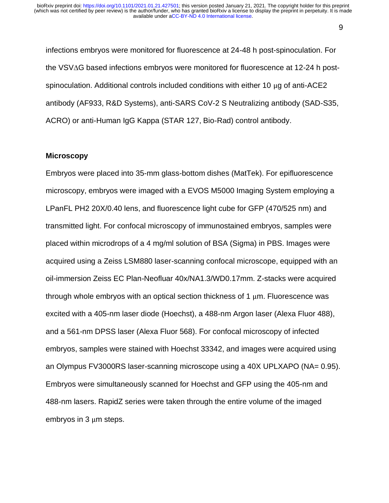infections embryos were monitored for fluorescence at 24-48 h post-spinoculation. For the VSV∆G based infections embryos were monitored for fluorescence at 12-24 h postspinoculation. Additional controls included conditions with either 10 µg of anti-ACE2 antibody (AF933, R&D Systems), anti-SARS CoV-2 S Neutralizing antibody (SAD-S35, ACRO) or anti-Human IgG Kappa (STAR 127, Bio-Rad) control antibody.

#### **Microscopy**

Embryos were placed into 35-mm glass-bottom dishes (MatTek). For epifluorescence microscopy, embryos were imaged with a EVOS M5000 Imaging System employing a LPanFL PH2 20X/0.40 lens, and fluorescence light cube for GFP (470/525 nm) and transmitted light. For confocal microscopy of immunostained embryos, samples were placed within microdrops of a 4 mg/ml solution of BSA (Sigma) in PBS. Images were acquired using a Zeiss LSM880 laser-scanning confocal microscope, equipped with an oil-immersion Zeiss EC Plan-Neofluar 40x/NA1.3/WD0.17mm. Z-stacks were acquired through whole embryos with an optical section thickness of 1  $\mu$ m. Fluorescence was excited with a 405-nm laser diode (Hoechst), a 488-nm Argon laser (Alexa Fluor 488), and a 561-nm DPSS laser (Alexa Fluor 568). For confocal microscopy of infected embryos, samples were stained with Hoechst 33342, and images were acquired using an Olympus FV3000RS laser-scanning microscope using a 40X UPLXAPO (NA= 0.95). Embryos were simultaneously scanned for Hoechst and GFP using the 405-nm and 488-nm lasers. RapidZ series were taken through the entire volume of the imaged embryos in 3 µm steps.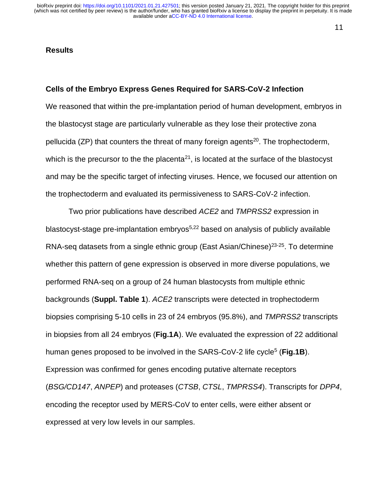#### **Results**

#### **Cells of the Embryo Express Genes Required for SARS-CoV-2 Infection**

We reasoned that within the pre-implantation period of human development, embryos in the blastocyst stage are particularly vulnerable as they lose their protective zona pellucida (ZP) that counters the threat of many foreign agents<sup>20</sup>. The trophectoderm, which is the precursor to the the placenta<sup>21</sup>, is located at the surface of the blastocyst and may be the specific target of infecting viruses. Hence, we focused our attention on the trophectoderm and evaluated its permissiveness to SARS-CoV-2 infection.

Two prior publications have described *ACE2* and *TMPRSS2* expression in blastocyst-stage pre-implantation embryos<sup>5,22</sup> based on analysis of publicly available RNA-seq datasets from a single ethnic group (East Asian/Chinese)<sup>23-25</sup>. To determine whether this pattern of gene expression is observed in more diverse populations, we performed RNA-seq on a group of 24 human blastocysts from multiple ethnic backgrounds (**Suppl. Table 1**). *ACE2* transcripts were detected in trophectoderm biopsies comprising 5-10 cells in 23 of 24 embryos (95.8%), and *TMPRSS2* transcripts in biopsies from all 24 embryos (**Fig.1A**). We evaluated the expression of 22 additional human genes proposed to be involved in the SARS-CoV-2 life cycle<sup>5</sup> (Fig.1B). Expression was confirmed for genes encoding putative alternate receptors (*BSG/CD147*, *ANPEP*) and proteases (*CTSB*, *CTSL*, *TMPRSS4*). Transcripts for *DPP4*, encoding the receptor used by MERS-CoV to enter cells, were either absent or expressed at very low levels in our samples.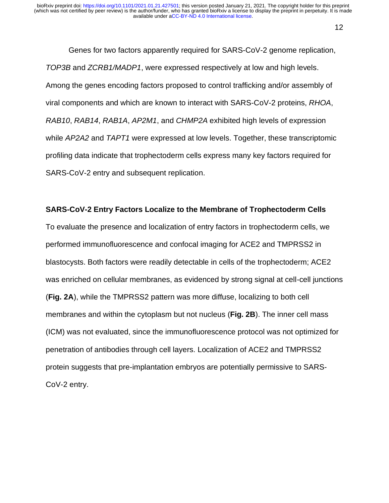Genes for two factors apparently required for SARS-CoV-2 genome replication, *TOP3B* and *ZCRB1/MADP1*, were expressed respectively at low and high levels. Among the genes encoding factors proposed to control trafficking and/or assembly of viral components and which are known to interact with SARS-CoV-2 proteins, *RHOA*, *RAB10*, *RAB14*, *RAB1A*, *AP2M1*, and *CHMP2A* exhibited high levels of expression while *AP2A2* and *TAPT1* were expressed at low levels. Together, these transcriptomic profiling data indicate that trophectoderm cells express many key factors required for SARS-CoV-2 entry and subsequent replication.

#### **SARS-CoV-2 Entry Factors Localize to the Membrane of Trophectoderm Cells**

To evaluate the presence and localization of entry factors in trophectoderm cells, we performed immunofluorescence and confocal imaging for ACE2 and TMPRSS2 in blastocysts. Both factors were readily detectable in cells of the trophectoderm; ACE2 was enriched on cellular membranes, as evidenced by strong signal at cell-cell junctions (**Fig. 2A**), while the TMPRSS2 pattern was more diffuse, localizing to both cell membranes and within the cytoplasm but not nucleus (**Fig. 2B**). The inner cell mass (ICM) was not evaluated, since the immunofluorescence protocol was not optimized for penetration of antibodies through cell layers. Localization of ACE2 and TMPRSS2 protein suggests that pre-implantation embryos are potentially permissive to SARS-CoV-2 entry.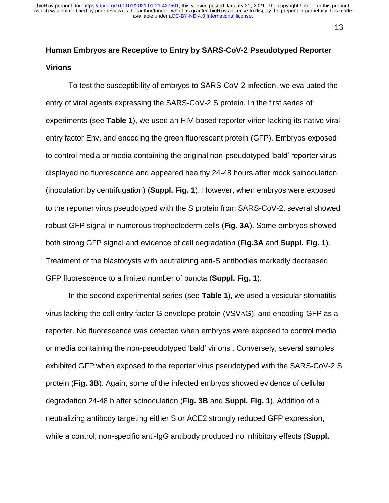# **Human Embryos are Receptive to Entry by SARS-CoV-2 Pseudotyped Reporter Virions**

To test the susceptibility of embryos to SARS-CoV-2 infection, we evaluated the entry of viral agents expressing the SARS-CoV-2 S protein. In the first series of experiments (see **Table 1**), we used an HIV-based reporter virion lacking its native viral entry factor Env, and encoding the green fluorescent protein (GFP). Embryos exposed to control media or media containing the original non-pseudotyped 'bald' reporter virus displayed no fluorescence and appeared healthy 24-48 hours after mock spinoculation (inoculation by centrifugation) (**Suppl. Fig. 1**). However, when embryos were exposed to the reporter virus pseudotyped with the S protein from SARS-CoV-2, several showed robust GFP signal in numerous trophectoderm cells (**Fig. 3A**). Some embryos showed both strong GFP signal and evidence of cell degradation (**Fig.3A** and **Suppl. Fig. 1**). Treatment of the blastocysts with neutralizing anti-S antibodies markedly decreased GFP fluorescence to a limited number of puncta (**Suppl. Fig. 1**).

In the second experimental series (see **Table 1**), we used a vesicular stomatitis virus lacking the cell entry factor G envelope protein (VSV∆G), and encoding GFP as a reporter. No fluorescence was detected when embryos were exposed to control media or media containing the non-pseudotyped 'bald' virions . Conversely, several samples exhibited GFP when exposed to the reporter virus pseudotyped with the SARS-CoV-2 S protein (**Fig. 3B**). Again, some of the infected embryos showed evidence of cellular degradation 24-48 h after spinoculation (**Fig. 3B** and **Suppl. Fig. 1**). Addition of a neutralizing antibody targeting either S or ACE2 strongly reduced GFP expression, while a control, non-specific anti-IgG antibody produced no inhibitory effects (**Suppl.**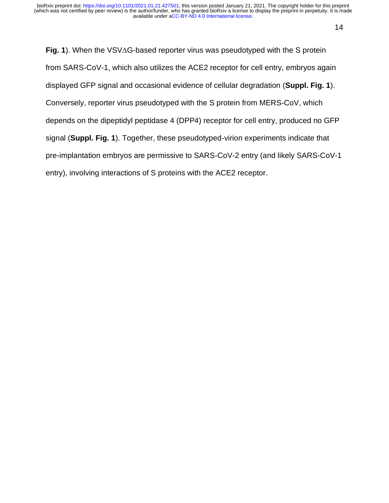**Fig. 1**). When the VSV∆G-based reporter virus was pseudotyped with the S protein from SARS-CoV-1, which also utilizes the ACE2 receptor for cell entry, embryos again displayed GFP signal and occasional evidence of cellular degradation (**Suppl. Fig. 1**). Conversely, reporter virus pseudotyped with the S protein from MERS-CoV, which depends on the dipeptidyl peptidase 4 (DPP4) receptor for cell entry, produced no GFP signal (**Suppl. Fig. 1**). Together, these pseudotyped-virion experiments indicate that pre-implantation embryos are permissive to SARS-CoV-2 entry (and likely SARS-CoV-1 entry), involving interactions of S proteins with the ACE2 receptor.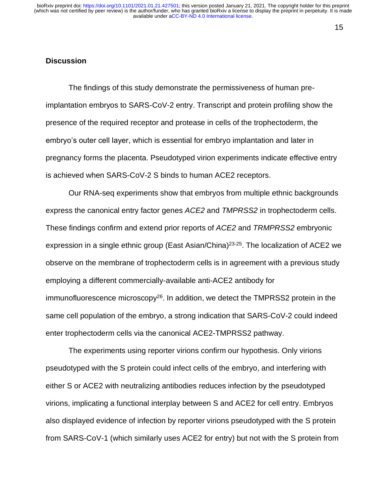#### **Discussion**

The findings of this study demonstrate the permissiveness of human preimplantation embryos to SARS-CoV-2 entry. Transcript and protein profiling show the presence of the required receptor and protease in cells of the trophectoderm, the embryo's outer cell layer, which is essential for embryo implantation and later in pregnancy forms the placenta. Pseudotyped virion experiments indicate effective entry is achieved when SARS-CoV-2 S binds to human ACE2 receptors.

Our RNA-seq experiments show that embryos from multiple ethnic backgrounds express the canonical entry factor genes *ACE2* and *TMPRSS2* in trophectoderm cells. These findings confirm and extend prior reports of *ACE2* and *TRMPRSS2* embryonic expression in a single ethnic group (East Asian/China)<sup>23-25</sup>. The localization of ACE2 we observe on the membrane of trophectoderm cells is in agreement with a previous study employing a different commercially-available anti-ACE2 antibody for immunofluorescence microscopy<sup>26</sup>. In addition, we detect the TMPRSS2 protein in the same cell population of the embryo, a strong indication that SARS-CoV-2 could indeed enter trophectoderm cells via the canonical ACE2-TMPRSS2 pathway.

The experiments using reporter virions confirm our hypothesis. Only virions pseudotyped with the S protein could infect cells of the embryo, and interfering with either S or ACE2 with neutralizing antibodies reduces infection by the pseudotyped virions, implicating a functional interplay between S and ACE2 for cell entry. Embryos also displayed evidence of infection by reporter virions pseudotyped with the S protein from SARS-CoV-1 (which similarly uses ACE2 for entry) but not with the S protein from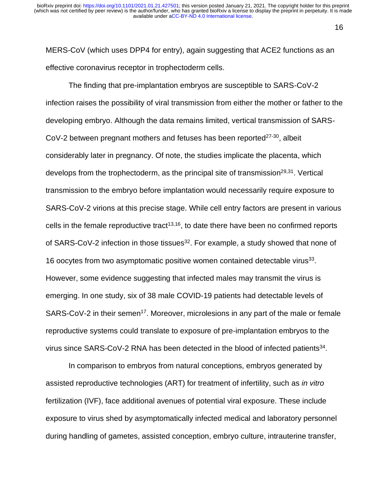MERS-CoV (which uses DPP4 for entry), again suggesting that ACE2 functions as an effective coronavirus receptor in trophectoderm cells.

The finding that pre-implantation embryos are susceptible to SARS-CoV-2 infection raises the possibility of viral transmission from either the mother or father to the developing embryo. Although the data remains limited, vertical transmission of SARS-CoV-2 between pregnant mothers and fetuses has been reported $27-30$ , albeit considerably later in pregnancy. Of note, the studies implicate the placenta, which develops from the trophectoderm, as the principal site of transmission<sup>29,31</sup>. Vertical transmission to the embryo before implantation would necessarily require exposure to SARS-CoV-2 virions at this precise stage. While cell entry factors are present in various cells in the female reproductive tract<sup>13,16</sup>, to date there have been no confirmed reports of SARS-CoV-2 infection in those tissues<sup>32</sup>. For example, a study showed that none of 16 oocytes from two asymptomatic positive women contained detectable virus<sup>33</sup>. However, some evidence suggesting that infected males may transmit the virus is emerging. In one study, six of 38 male COVID-19 patients had detectable levels of SARS-CoV-2 in their semen<sup>17</sup>. Moreover, microlesions in any part of the male or female reproductive systems could translate to exposure of pre-implantation embryos to the virus since SARS-CoV-2 RNA has been detected in the blood of infected patients $34$ .

In comparison to embryos from natural conceptions, embryos generated by assisted reproductive technologies (ART) for treatment of infertility, such as *in vitro* fertilization (IVF), face additional avenues of potential viral exposure. These include exposure to virus shed by asymptomatically infected medical and laboratory personnel during handling of gametes, assisted conception, embryo culture, intrauterine transfer,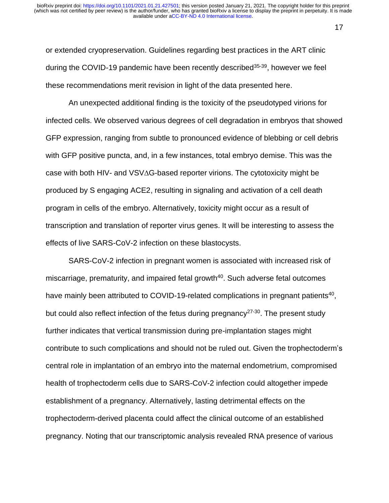or extended cryopreservation. Guidelines regarding best practices in the ART clinic during the COVID-19 pandemic have been recently described<sup>35-39</sup>, however we feel these recommendations merit revision in light of the data presented here.

An unexpected additional finding is the toxicity of the pseudotyped virions for infected cells. We observed various degrees of cell degradation in embryos that showed GFP expression, ranging from subtle to pronounced evidence of blebbing or cell debris with GFP positive puncta, and, in a few instances, total embryo demise. This was the case with both HIV- and VSV∆G-based reporter virions. The cytotoxicity might be produced by S engaging ACE2, resulting in signaling and activation of a cell death program in cells of the embryo. Alternatively, toxicity might occur as a result of transcription and translation of reporter virus genes. It will be interesting to assess the effects of live SARS-CoV-2 infection on these blastocysts.

SARS-CoV-2 infection in pregnant women is associated with increased risk of miscarriage, prematurity, and impaired fetal growth<sup>40</sup>. Such adverse fetal outcomes have mainly been attributed to COVID-19-related complications in pregnant patients<sup>40</sup>, but could also reflect infection of the fetus during pregnancy<sup>27-30</sup>. The present study further indicates that vertical transmission during pre-implantation stages might contribute to such complications and should not be ruled out. Given the trophectoderm's central role in implantation of an embryo into the maternal endometrium, compromised health of trophectoderm cells due to SARS-CoV-2 infection could altogether impede establishment of a pregnancy. Alternatively, lasting detrimental effects on the trophectoderm-derived placenta could affect the clinical outcome of an established pregnancy. Noting that our transcriptomic analysis revealed RNA presence of various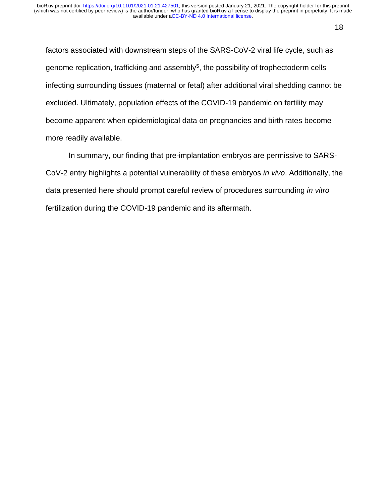factors associated with downstream steps of the SARS-CoV-2 viral life cycle, such as genome replication, trafficking and assembly<sup>5</sup>, the possibility of trophectoderm cells infecting surrounding tissues (maternal or fetal) after additional viral shedding cannot be excluded. Ultimately, population effects of the COVID-19 pandemic on fertility may become apparent when epidemiological data on pregnancies and birth rates become more readily available.

In summary, our finding that pre-implantation embryos are permissive to SARS-CoV-2 entry highlights a potential vulnerability of these embryos *in vivo*. Additionally, the data presented here should prompt careful review of procedures surrounding *in vitro* fertilization during the COVID-19 pandemic and its aftermath.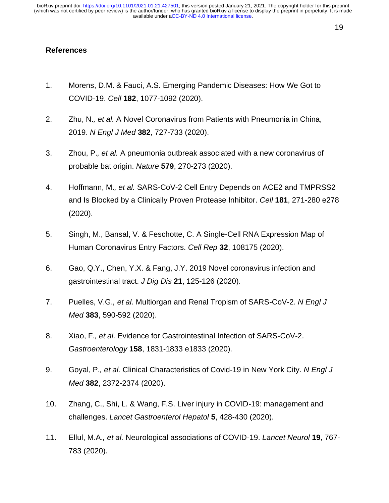#### 19

#### **References**

- 1. Morens, D.M. & Fauci, A.S. Emerging Pandemic Diseases: How We Got to COVID-19. *Cell* **182**, 1077-1092 (2020).
- 2. Zhu, N.*, et al.* A Novel Coronavirus from Patients with Pneumonia in China, 2019. *N Engl J Med* **382**, 727-733 (2020).
- 3. Zhou, P.*, et al.* A pneumonia outbreak associated with a new coronavirus of probable bat origin. *Nature* **579**, 270-273 (2020).
- 4. Hoffmann, M.*, et al.* SARS-CoV-2 Cell Entry Depends on ACE2 and TMPRSS2 and Is Blocked by a Clinically Proven Protease Inhibitor. *Cell* **181**, 271-280 e278 (2020).
- 5. Singh, M., Bansal, V. & Feschotte, C. A Single-Cell RNA Expression Map of Human Coronavirus Entry Factors. *Cell Rep* **32**, 108175 (2020).
- 6. Gao, Q.Y., Chen, Y.X. & Fang, J.Y. 2019 Novel coronavirus infection and gastrointestinal tract. *J Dig Dis* **21**, 125-126 (2020).
- 7. Puelles, V.G.*, et al.* Multiorgan and Renal Tropism of SARS-CoV-2. *N Engl J Med* **383**, 590-592 (2020).
- 8. Xiao, F.*, et al.* Evidence for Gastrointestinal Infection of SARS-CoV-2. *Gastroenterology* **158**, 1831-1833 e1833 (2020).
- 9. Goyal, P.*, et al.* Clinical Characteristics of Covid-19 in New York City. *N Engl J Med* **382**, 2372-2374 (2020).
- 10. Zhang, C., Shi, L. & Wang, F.S. Liver injury in COVID-19: management and challenges. *Lancet Gastroenterol Hepatol* **5**, 428-430 (2020).
- 11. Ellul, M.A.*, et al.* Neurological associations of COVID-19. *Lancet Neurol* **19**, 767- 783 (2020).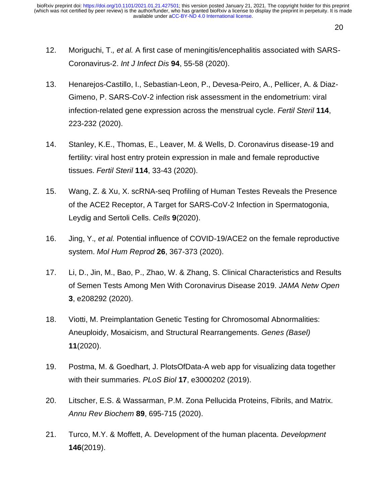- 12. Moriguchi, T.*, et al.* A first case of meningitis/encephalitis associated with SARS-Coronavirus-2. *Int J Infect Dis* **94**, 55-58 (2020).
- 13. Henarejos-Castillo, I., Sebastian-Leon, P., Devesa-Peiro, A., Pellicer, A. & Diaz-Gimeno, P. SARS-CoV-2 infection risk assessment in the endometrium: viral infection-related gene expression across the menstrual cycle. *Fertil Steril* **114**, 223-232 (2020).
- 14. Stanley, K.E., Thomas, E., Leaver, M. & Wells, D. Coronavirus disease-19 and fertility: viral host entry protein expression in male and female reproductive tissues. *Fertil Steril* **114**, 33-43 (2020).
- 15. Wang, Z. & Xu, X. scRNA-seq Profiling of Human Testes Reveals the Presence of the ACE2 Receptor, A Target for SARS-CoV-2 Infection in Spermatogonia, Leydig and Sertoli Cells. *Cells* **9**(2020).
- 16. Jing, Y.*, et al.* Potential influence of COVID-19/ACE2 on the female reproductive system. *Mol Hum Reprod* **26**, 367-373 (2020).
- 17. Li, D., Jin, M., Bao, P., Zhao, W. & Zhang, S. Clinical Characteristics and Results of Semen Tests Among Men With Coronavirus Disease 2019. *JAMA Netw Open* **3**, e208292 (2020).
- 18. Viotti, M. Preimplantation Genetic Testing for Chromosomal Abnormalities: Aneuploidy, Mosaicism, and Structural Rearrangements. *Genes (Basel)* **11**(2020).
- 19. Postma, M. & Goedhart, J. PlotsOfData-A web app for visualizing data together with their summaries. *PLoS Biol* **17**, e3000202 (2019).
- 20. Litscher, E.S. & Wassarman, P.M. Zona Pellucida Proteins, Fibrils, and Matrix. *Annu Rev Biochem* **89**, 695-715 (2020).
- 21. Turco, M.Y. & Moffett, A. Development of the human placenta. *Development* **146**(2019).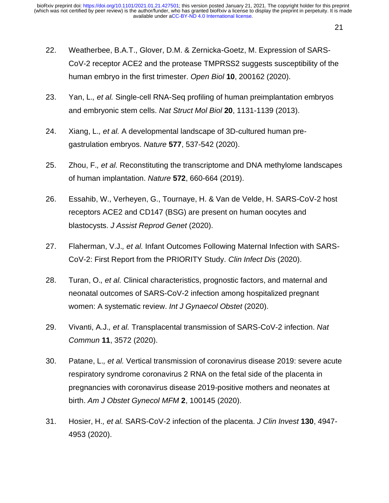- 22. Weatherbee, B.A.T., Glover, D.M. & Zernicka-Goetz, M. Expression of SARS-CoV-2 receptor ACE2 and the protease TMPRSS2 suggests susceptibility of the human embryo in the first trimester. *Open Biol* **10**, 200162 (2020).
- 23. Yan, L.*, et al.* Single-cell RNA-Seq profiling of human preimplantation embryos and embryonic stem cells. *Nat Struct Mol Biol* **20**, 1131-1139 (2013).
- 24. Xiang, L.*, et al.* A developmental landscape of 3D-cultured human pregastrulation embryos. *Nature* **577**, 537-542 (2020).
- 25. Zhou, F.*, et al.* Reconstituting the transcriptome and DNA methylome landscapes of human implantation. *Nature* **572**, 660-664 (2019).
- 26. Essahib, W., Verheyen, G., Tournaye, H. & Van de Velde, H. SARS-CoV-2 host receptors ACE2 and CD147 (BSG) are present on human oocytes and blastocysts. *J Assist Reprod Genet* (2020).
- 27. Flaherman, V.J.*, et al.* Infant Outcomes Following Maternal Infection with SARS-CoV-2: First Report from the PRIORITY Study. *Clin Infect Dis* (2020).
- 28. Turan, O.*, et al.* Clinical characteristics, prognostic factors, and maternal and neonatal outcomes of SARS-CoV-2 infection among hospitalized pregnant women: A systematic review. *Int J Gynaecol Obstet* (2020).
- 29. Vivanti, A.J.*, et al.* Transplacental transmission of SARS-CoV-2 infection. *Nat Commun* **11**, 3572 (2020).
- 30. Patane, L.*, et al.* Vertical transmission of coronavirus disease 2019: severe acute respiratory syndrome coronavirus 2 RNA on the fetal side of the placenta in pregnancies with coronavirus disease 2019-positive mothers and neonates at birth. *Am J Obstet Gynecol MFM* **2**, 100145 (2020).
- 31. Hosier, H.*, et al.* SARS-CoV-2 infection of the placenta. *J Clin Invest* **130**, 4947- 4953 (2020).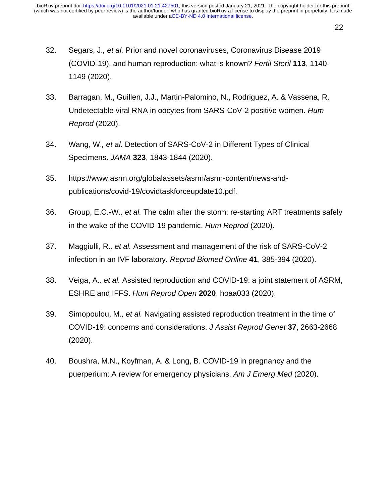- 32. Segars, J.*, et al.* Prior and novel coronaviruses, Coronavirus Disease 2019 (COVID-19), and human reproduction: what is known? *Fertil Steril* **113**, 1140- 1149 (2020).
- 33. Barragan, M., Guillen, J.J., Martin-Palomino, N., Rodriguez, A. & Vassena, R. Undetectable viral RNA in oocytes from SARS-CoV-2 positive women. *Hum Reprod* (2020).
- 34. Wang, W.*, et al.* Detection of SARS-CoV-2 in Different Types of Clinical Specimens. *JAMA* **323**, 1843-1844 (2020).
- 35. https://www.asrm.org/globalassets/asrm/asrm-content/news-andpublications/covid-19/covidtaskforceupdate10.pdf.
- 36. Group, E.C.-W.*, et al.* The calm after the storm: re-starting ART treatments safely in the wake of the COVID-19 pandemic. *Hum Reprod* (2020).
- 37. Maggiulli, R.*, et al.* Assessment and management of the risk of SARS-CoV-2 infection in an IVF laboratory. *Reprod Biomed Online* **41**, 385-394 (2020).
- 38. Veiga, A.*, et al.* Assisted reproduction and COVID-19: a joint statement of ASRM, ESHRE and IFFS. *Hum Reprod Open* **2020**, hoaa033 (2020).
- 39. Simopoulou, M.*, et al.* Navigating assisted reproduction treatment in the time of COVID-19: concerns and considerations. *J Assist Reprod Genet* **37**, 2663-2668 (2020).
- 40. Boushra, M.N., Koyfman, A. & Long, B. COVID-19 in pregnancy and the puerperium: A review for emergency physicians. *Am J Emerg Med* (2020).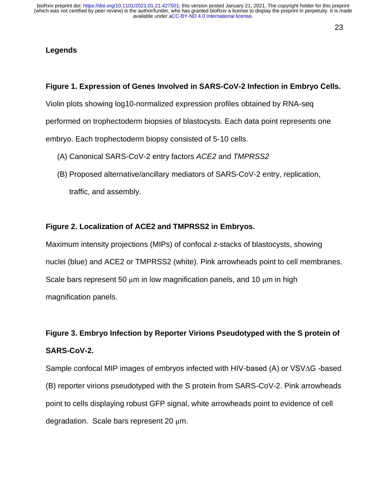#### 23

#### **Legends**

#### **Figure 1. Expression of Genes Involved in SARS-CoV-2 Infection in Embryo Cells.**

Violin plots showing log10-normalized expression profiles obtained by RNA-seq

performed on trophectoderm biopsies of blastocysts. Each data point represents one

embryo. Each trophectoderm biopsy consisted of 5-10 cells.

- (A) Canonical SARS-CoV-2 entry factors *ACE2* and *TMPRSS2*
- (B) Proposed alternative/ancillary mediators of SARS-CoV-2 entry, replication, traffic, and assembly.

#### **Figure 2. Localization of ACE2 and TMPRSS2 in Embryos.**

Maximum intensity projections (MIPs) of confocal z-stacks of blastocysts, showing nuclei (blue) and ACE2 or TMPRSS2 (white). Pink arrowheads point to cell membranes. Scale bars represent 50  $\mu$ m in low magnification panels, and 10  $\mu$ m in high magnification panels.

# **Figure 3. Embryo Infection by Reporter Virions Pseudotyped with the S protein of SARS-CoV-2.**

Sample confocal MIP images of embryos infected with HIV-based (A) or VSV∆G -based (B) reporter virions pseudotyped with the S protein from SARS-CoV-2. Pink arrowheads point to cells displaying robust GFP signal, white arrowheads point to evidence of cell degradation. Scale bars represent 20 µm.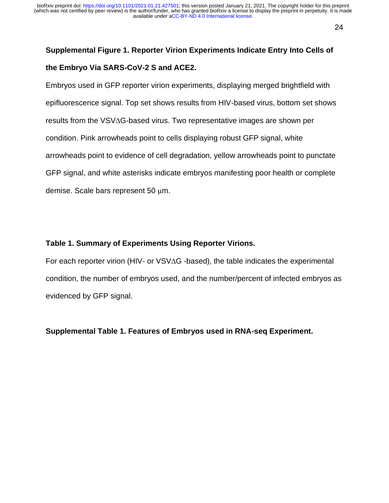# **Supplemental Figure 1. Reporter Virion Experiments Indicate Entry Into Cells of the Embryo Via SARS-CoV-2 S and ACE2.**

Embryos used in GFP reporter virion experiments, displaying merged brightfield with epifluorescence signal. Top set shows results from HIV-based virus, bottom set shows results from the VSV∆G-based virus. Two representative images are shown per condition. Pink arrowheads point to cells displaying robust GFP signal, white arrowheads point to evidence of cell degradation, yellow arrowheads point to punctate GFP signal, and white asterisks indicate embryos manifesting poor health or complete demise. Scale bars represent 50 µm.

#### **Table 1. Summary of Experiments Using Reporter Virions.**

For each reporter virion (HIV- or VSV∆G -based), the table indicates the experimental condition, the number of embryos used, and the number/percent of infected embryos as evidenced by GFP signal.

**Supplemental Table 1. Features of Embryos used in RNA-seq Experiment.**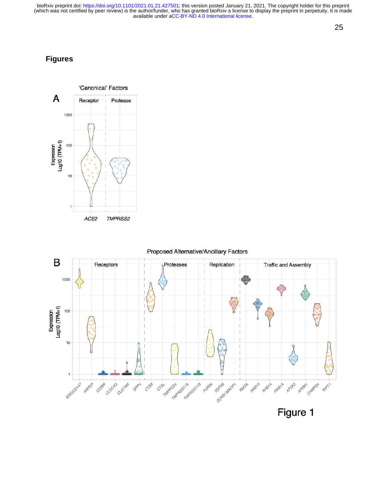#### 25

## **Figures**



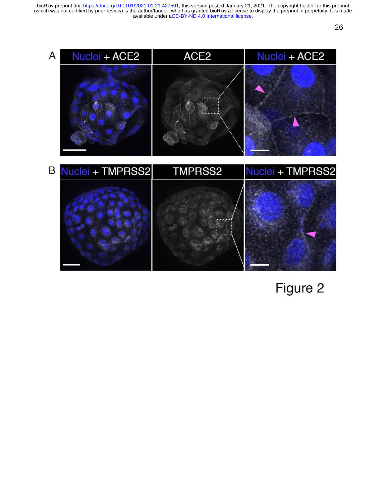26



Figure 2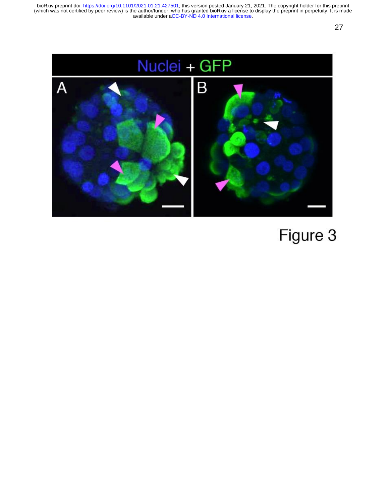

# Figure 3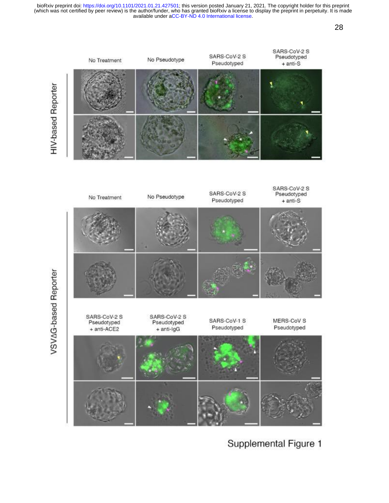

## Supplemental Figure 1

28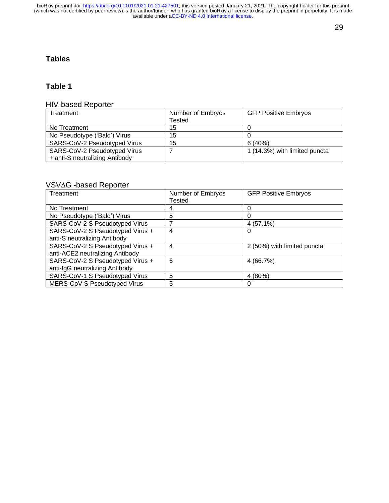#### 29

#### **Tables**

#### **Table 1**

#### HIV-based Reporter

| Treatment                      | Number of Embryos | <b>GFP Positive Embryos</b>   |
|--------------------------------|-------------------|-------------------------------|
|                                | Tested            |                               |
| No Treatment                   | 15                |                               |
| No Pseudotype ('Bald') Virus   | 15                |                               |
| SARS-CoV-2 Pseudotyped Virus   | 15                | 6(40%)                        |
| SARS-CoV-2 Pseudotyped Virus   |                   | 1 (14.3%) with limited puncta |
| + anti-S neutralizing Antibody |                   |                               |

#### VSV∆G -based Reporter

| Treatment                        | Number of Embryos | <b>GFP Positive Embryos</b> |
|----------------------------------|-------------------|-----------------------------|
|                                  | Tested            |                             |
| No Treatment                     | 4                 | 0                           |
| No Pseudotype ('Bald') Virus     | 5                 | 0                           |
| SARS-CoV-2 S Pseudotyped Virus   |                   | $4(57.1\%)$                 |
| SARS-CoV-2 S Pseudotyped Virus + | 4                 | 0                           |
| anti-S neutralizing Antibody     |                   |                             |
| SARS-CoV-2 S Pseudotyped Virus + | 4                 | 2 (50%) with limited puncta |
| anti-ACE2 neutralizing Antibody  |                   |                             |
| SARS-CoV-2 S Pseudotyped Virus + | 6                 | 4 (66.7%)                   |
| anti-IgG neutralizing Antibody   |                   |                             |
| SARS-CoV-1 S Pseudotyped Virus   | 5                 | 4 (80%)                     |
| MERS-CoV S Pseudotyped Virus     | 5                 |                             |